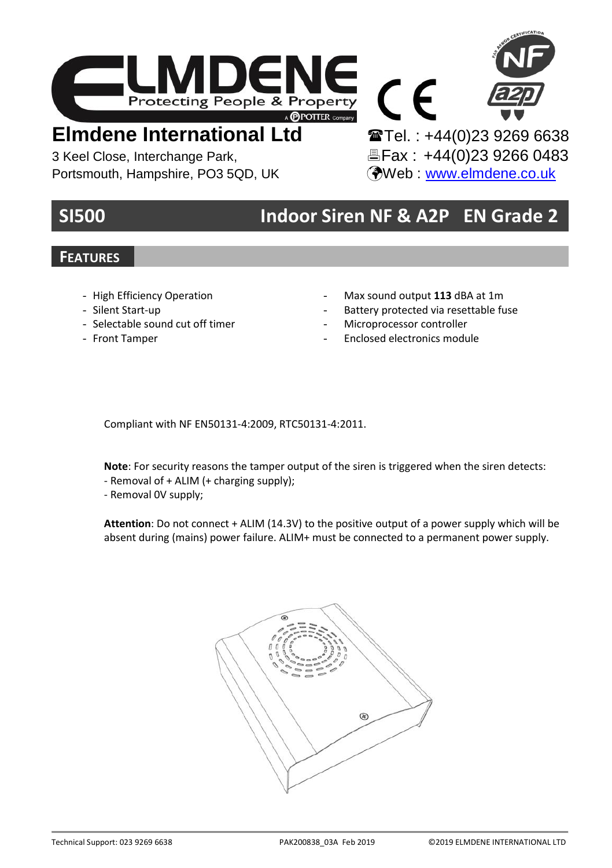



Portsmouth, Hampshire, PO3 5QD. UK

3 Keel Close, Interchange Park, **Elected State 18 Eax : +44(0)23 9266 0483**<br>Portsmouth, Hampshire, PO3 5QD, UK **P**Web : www.elmdene.co.uk

1

# **SI500 Indoor Siren NF & A2P EN Grade 2**

 $\epsilon$ 

# **FEATURES**

- High Efficiency Operation
- Silent Start-up
- Selectable sound cut off timer
- Front Tamper
- Max sound output 113 dBA at 1m
- Battery protected via resettable fuse
- Microprocessor controller
- Enclosed electronics module

Compliant with NF EN50131-4:2009, RTC50131-4:2011.

**Note**: For security reasons the tamper output of the siren is triggered when the siren detects:

- Removal of + ALIM (+ charging supply);
- Removal 0V supply;

**Attention**: Do not connect + ALIM (14.3V) to the positive output of a power supply which will be absent during (mains) power failure. ALIM+ must be connected to a permanent power supply.

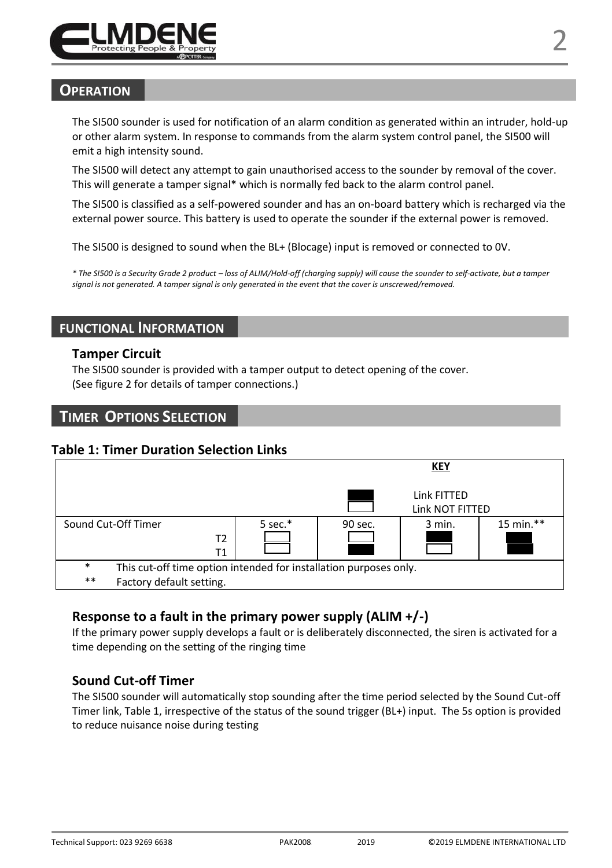

### **OPERATION**

The SI500 sounder is used for notification of an alarm condition as generated within an intruder, hold-up or other alarm system. In response to commands from the alarm system control panel, the SI500 will emit a high intensity sound.

The SI500 will detect any attempt to gain unauthorised access to the sounder by removal of the cover. This will generate a tamper signal\* which is normally fed back to the alarm control panel.

The SI500 is classified as a self-powered sounder and has an on-board battery which is recharged via the external power source. This battery is used to operate the sounder if the external power is removed.

The SI500 is designed to sound when the BL+ (Blocage) input is removed or connected to 0V.

*\* The SI500 is a Security Grade 2 product – loss of ALIM/Hold-off (charging supply) will cause the sounder to self-activate, but a tamper signal is not generated. A tamper signal is only generated in the event that the cover is unscrewed/removed.*

#### **FUNCTIONAL INFORMATION**

#### **Tamper Circuit**

The SI500 sounder is provided with a tamper output to detect opening of the cover. (See figure 2 for details of tamper connections.)

#### **TIMER OPTIONS SELECTION**

#### **Table 1: Timer Duration Selection Links**



#### **Response to a fault in the primary power supply (ALIM +/-)**

If the primary power supply develops a fault or is deliberately disconnected, the siren is activated for a time depending on the setting of the ringing time

#### **Sound Cut-off Timer**

The SI500 sounder will automatically stop sounding after the time period selected by the Sound Cut-off Timer link, Table 1, irrespective of the status of the sound trigger (BL+) input. The 5s option is provided to reduce nuisance noise during testing

2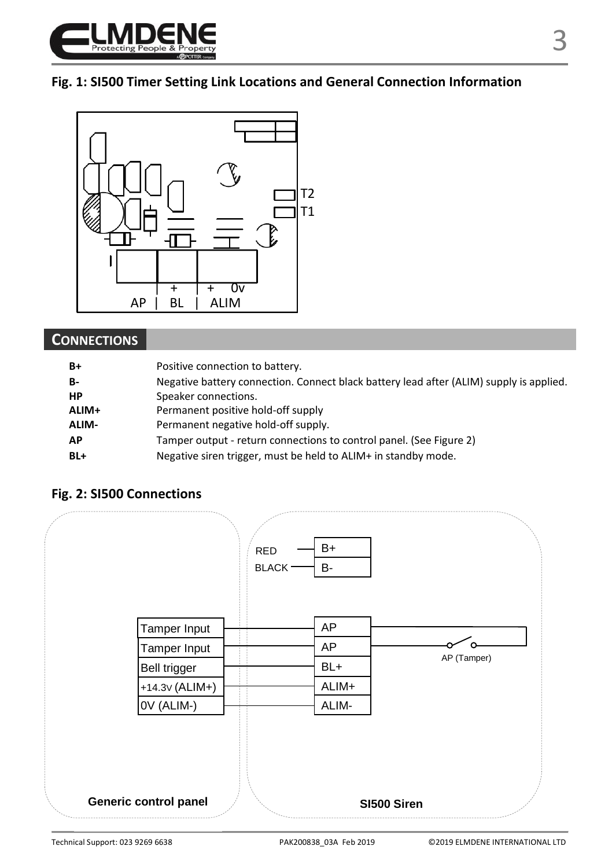

# **Fig. 1: SI500 Timer Setting Link Locations and General Connection Information**



# **CONNECTIONS**

| $B+$      | Positive connection to battery.                                                         |
|-----------|-----------------------------------------------------------------------------------------|
| <b>B-</b> | Negative battery connection. Connect black battery lead after (ALIM) supply is applied. |
| HP        | Speaker connections.                                                                    |
| ALIM+     | Permanent positive hold-off supply                                                      |
| ALIM-     | Permanent negative hold-off supply.                                                     |
| AP        | Tamper output - return connections to control panel. (See Figure 2)                     |
| $BL+$     | Negative siren trigger, must be held to ALIM+ in standby mode.                          |



# **Fig. 2: SI500 Connections**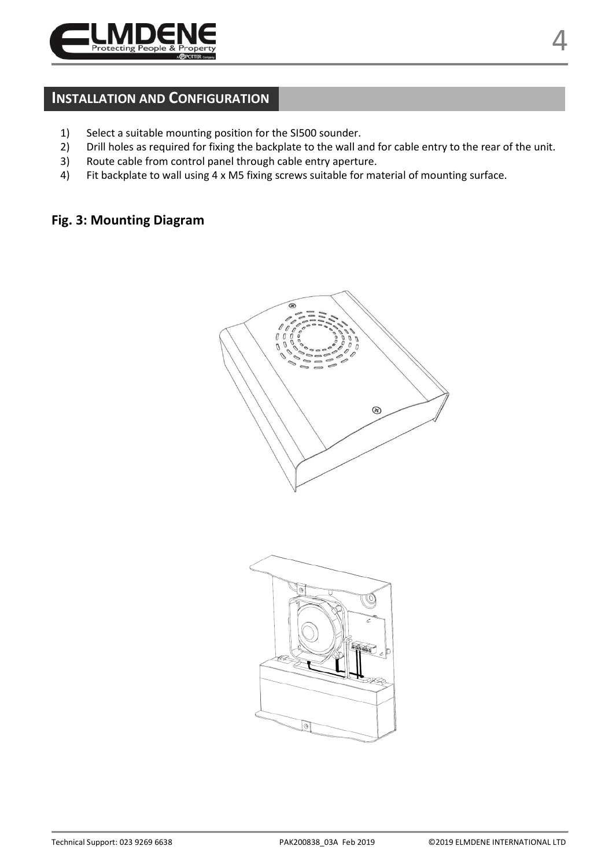

# **INSTALLATION AND CONFIGURATION**

- 1) Select a suitable mounting position for the SI500 sounder.<br>2) Drill holes as required for fixing the backplate to the wall a
- 2) Drill holes as required for fixing the backplate to the wall and for cable entry to the rear of the unit.<br>3) Route cable from control panel through cable entry aperture.
- 3) Route cable from control panel through cable entry aperture.<br>4) Fit backplate to wall using 4 x M5 fixing screws suitable for ma
- Fit backplate to wall using 4 x M5 fixing screws suitable for material of mounting surface.

## **Fig. 3: Mounting Diagram**



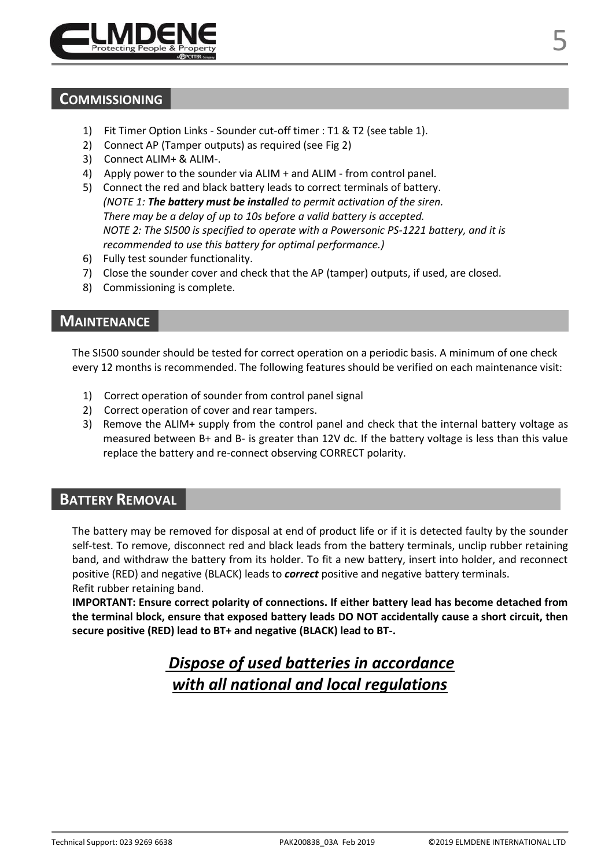

#### **COMMISSIONING**

- 1) Fit Timer Option Links Sounder cut-off timer : T1 & T2 (see table 1).
- 2) Connect AP (Tamper outputs) as required (see Fig 2)
- 3) Connect ALIM+ & ALIM-.
- 4) Apply power to the sounder via ALIM + and ALIM from control panel.
- 5) Connect the red and black battery leads to correct terminals of battery. *(NOTE 1: The battery must be installed to permit activation of the siren. There may be a delay of up to 10s before a valid battery is accepted. NOTE 2: The SI500 is specified to operate with a Powersonic PS-1221 battery, and it is recommended to use this battery for optimal performance.)*
- 6) Fully test sounder functionality.
- 7) Close the sounder cover and check that the AP (tamper) outputs, if used, are closed.
- 8) Commissioning is complete.

#### **MAINTENANCE**

The SI500 sounder should be tested for correct operation on a periodic basis. A minimum of one check every 12 months is recommended. The following features should be verified on each maintenance visit:

- 1) Correct operation of sounder from control panel signal
- 2) Correct operation of cover and rear tampers.
- 3) Remove the ALIM+ supply from the control panel and check that the internal battery voltage as measured between B+ and B- is greater than 12V dc. If the battery voltage is less than this value replace the battery and re-connect observing CORRECT polarity.

### **BATTERY REMOVAL**

The battery may be removed for disposal at end Of product life or if it is detected faulty by the sounder self-test. To remove, disconnect red and black leads from the battery terminals, unclip rubber retaining band, and withdraw the battery from its holder. To fit a new battery, insert into holder, and reconnect positive (RED) and negative (BLACK) leads to *correct* positive and negative battery terminals. Refit rubber retaining band.

**IMPORTANT: Ensure correct polarity of connections. If either battery lead has become detached from the terminal block, ensure that exposed battery leads DO NOT accidentally cause a short circuit, then secure positive (RED) lead to BT+ and negative (BLACK) lead to BT-.**

> *Dispose of used batteries in accordance with all national and local regulations*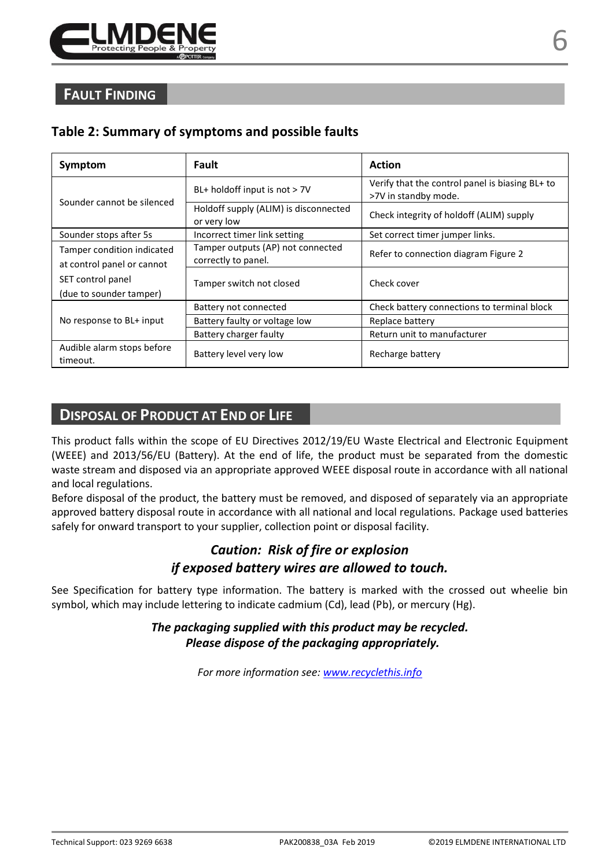

# **FAULT FINDING**

#### **Table 2: Summary of symptoms and possible faults**

| Symptom                                                  | Fault                                                    | <b>Action</b>                                                           |
|----------------------------------------------------------|----------------------------------------------------------|-------------------------------------------------------------------------|
| Sounder cannot be silenced                               | BL+ holdoff input is not > 7V                            | Verify that the control panel is biasing BL+ to<br>>7V in standby mode. |
|                                                          | Holdoff supply (ALIM) is disconnected<br>or very low     | Check integrity of holdoff (ALIM) supply                                |
| Sounder stops after 5s                                   | Incorrect timer link setting                             | Set correct timer jumper links.                                         |
| Tamper condition indicated<br>at control panel or cannot | Tamper outputs (AP) not connected<br>correctly to panel. | Refer to connection diagram Figure 2                                    |
| SET control panel<br>(due to sounder tamper)             | Tamper switch not closed                                 | Check cover                                                             |
|                                                          | Battery not connected                                    | Check battery connections to terminal block                             |
| No response to BL+ input                                 | Battery faulty or voltage low                            | Replace battery                                                         |
|                                                          | Battery charger faulty                                   | Return unit to manufacturer                                             |
| Audible alarm stops before<br>timeout.                   | Battery level very low                                   | Recharge battery                                                        |

# **DISPOSAL OF PRODUCT AT END OF LIFE**

This product falls within the scope of EU Directives 2012/19/EU Waste Electrical and Electronic Equipment (WEEE) and 2013/56/EU (Battery). At the end of life, the product must be separated from the domestic waste stream and disposed via an appropriate approved WEEE disposal route in accordance with all national and local regulations.

Before disposal of the product, the battery must be removed, and disposed of separately via an appropriate approved battery disposal route in accordance with all national and local regulations. Package used batteries safely for onward transport to your supplier, collection point or disposal facility.

# *Caution: Risk of fire or explosion if exposed battery wires are allowed to touch.*

See Specification for battery type information. The battery is marked with the crossed out wheelie bin symbol, which may include lettering to indicate cadmium (Cd), lead (Pb), or mercury (Hg).

#### *The packaging supplied with this product may be recycled. Please dispose of the packaging appropriately.*

*For more information see[: www.recyclethis.info](http://www.recyclethis.info/)*